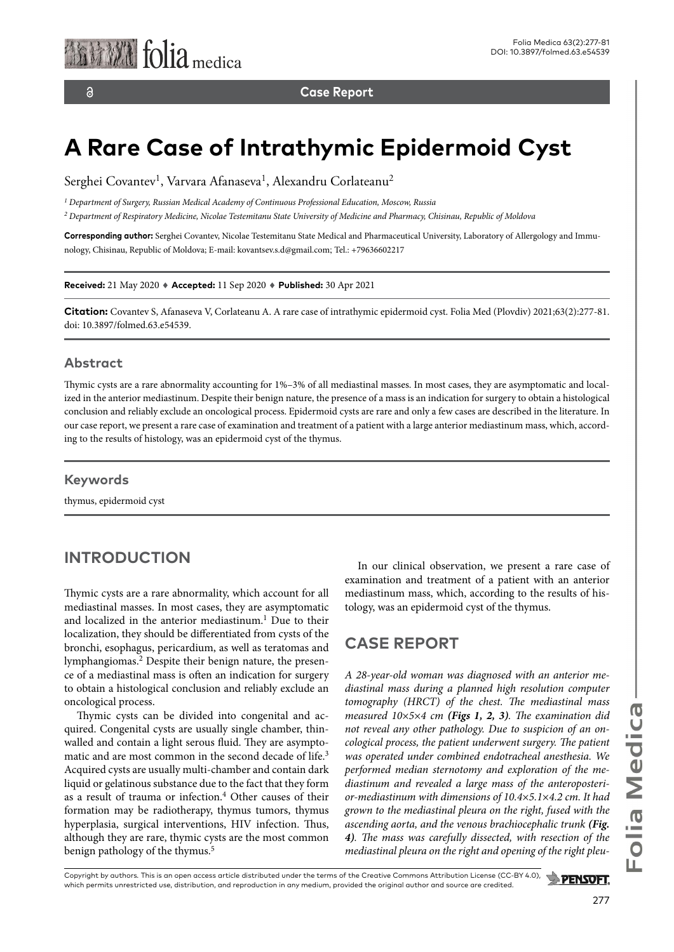**Case Report**

# **A Rare Case of Intrathymic Epidermoid Cyst**

Serghei Covantev<sup>1</sup>, Varvara Afanaseva<sup>1</sup>, Alexandru Corlateanu<sup>2</sup>

*1 Department of Surgery, Russian Medical Academy of Continuous Professional Education, Moscow, Russia*

*2 Department of Respiratory Medicine, Nicolae Testemitanu State University of Medicine and Pharmacy, Chisinau, Republic of Moldova*

**Corresponding author:** Serghei Covantev, Nicolae Testemitanu State Medical and Pharmaceutical University, Laboratory of Allergology and Immunology, Chisinau, Republic of Moldova; E-mail: kovantsev.s.d@gmail.com; Tel.: +79636602217

**Received:** 21 May 2020 ♦ **Accepted:** 11 Sep 2020 ♦ **Published:** 30 Apr 2021

**Citation:** Covantev S, Afanaseva V, Corlateanu A. A rare case of intrathymic epidermoid cyst. Folia Med (Plovdiv) 2021;63(2):277-81. doi: 10.3897/folmed.63.e54539.

#### **Abstract**

Thymic cysts are a rare abnormality accounting for 1%–3% of all mediastinal masses. In most cases, they are asymptomatic and localized in the anterior mediastinum. Despite their benign nature, the presence of a mass is an indication for surgery to obtain a histological conclusion and reliably exclude an oncological process. Epidermoid cysts are rare and only a few cases are described in the literature. In our case report, we present a rare case of examination and treatment of a patient with a large anterior mediastinum mass, which, according to the results of histology, was an epidermoid cyst of the thymus.

#### **Keywords**

thymus, epidermoid cyst

#### **INTRODUCTION**

Thymic cysts are a rare abnormality, which account for all mediastinal masses. In most cases, they are asymptomatic and localized in the anterior mediastinum.<sup>1</sup> Due to their localization, they should be differentiated from cysts of the bronchi, esophagus, pericardium, as well as teratomas and lymphangiomas.2 Despite their benign nature, the presence of a mediastinal mass is often an indication for surgery to obtain a histological conclusion and reliably exclude an oncological process.

Thymic cysts can be divided into congenital and acquired. Congenital cysts are usually single chamber, thinwalled and contain a light serous fluid. They are asymptomatic and are most common in the second decade of life.<sup>3</sup> Acquired cysts are usually multi-chamber and contain dark liquid or gelatinous substance due to the fact that they form as a result of trauma or infection.<sup>4</sup> Other causes of their formation may be radiotherapy, thymus tumors, thymus hyperplasia, surgical interventions, HIV infection. Thus, although they are rare, thymic cysts are the most common benign pathology of the thymus.<sup>5</sup>

In our clinical observation, we present a rare case of examination and treatment of a patient with an anterior mediastinum mass, which, according to the results of histology, was an epidermoid cyst of the thymus.

#### **CASE REPORT**

*A 28-year-old woman was diagnosed with an anterior mediastinal mass during a planned high resolution computer tomography (HRCT) of the chest. The mediastinal mass measured 10*×*5*×*4 cm (Figs 1, 2, 3). The examination did not reveal any other pathology. Due to suspicion of an oncological process, the patient underwent surgery. The patient was operated under combined endotracheal anesthesia. We performed median sternotomy and exploration of the mediastinum and revealed a large mass of the anteroposterior-mediastinum with dimensions of 10.4*×*5.1*×*4.2 cm. It had grown to the mediastinal pleura on the right, fused with the ascending aorta, and the venous brachiocephalic trunk (Fig. 4). The mass was carefully dissected, with resection of the mediastinal pleura on the right and opening of the right pleu-*

Copyright by authors*.* This is an open access article distributed under the terms of the Creative Commons Attribution License (CC-BY 4.0), **PENSOFT.** which permits unrestricted use, distribution, and reproduction in any medium, provided the original author and source are credited.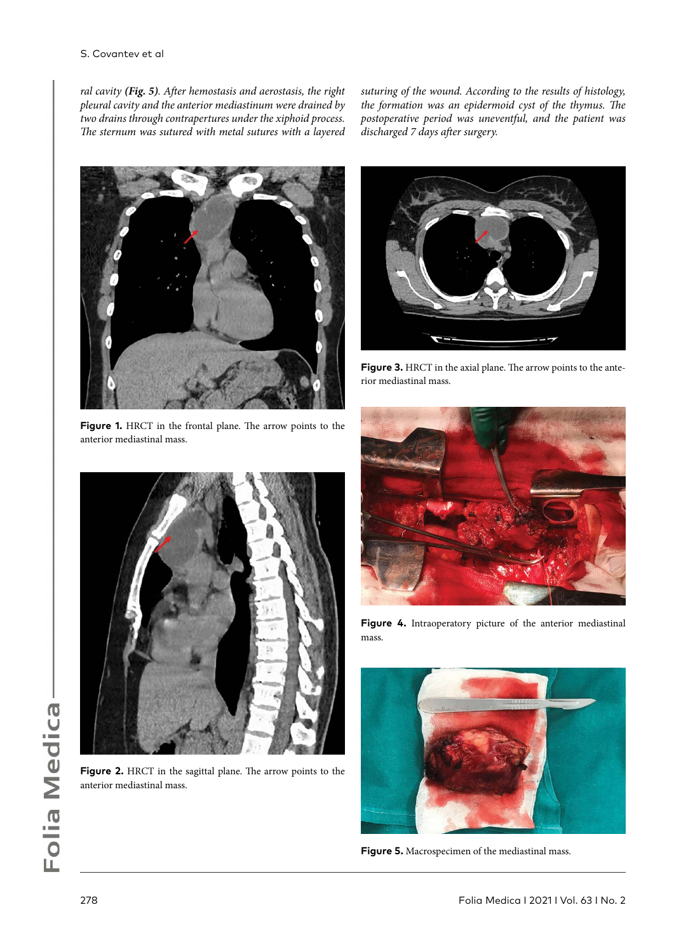*ral cavity (Fig. 5). After hemostasis and aerostasis, the right pleural cavity and the anterior mediastinum were drained by two drains through contrapertures under the xiphoid process. The sternum was sutured with metal sutures with a layered* 

**Figure 1.** HRCT in the frontal plane. The arrow points to the anterior mediastinal mass.

*suturing of the wound. According to the results of histology, the formation was an epidermoid cyst of the thymus. The postoperative period was uneventful, and the patient was discharged 7 days after surgery.*



**Figure 3.** HRCT in the axial plane. The arrow points to the anterior mediastinal mass.



**Figure 4.** Intraoperatory picture of the anterior mediastinal mass.



**Figure 5.** Macrospecimen of the mediastinal mass.



**Figure 2.** HRCT in the sagittal plane. The arrow points to the anterior mediastinal mass.

Folia Medica I 2021 I Vol. 63 I No. 2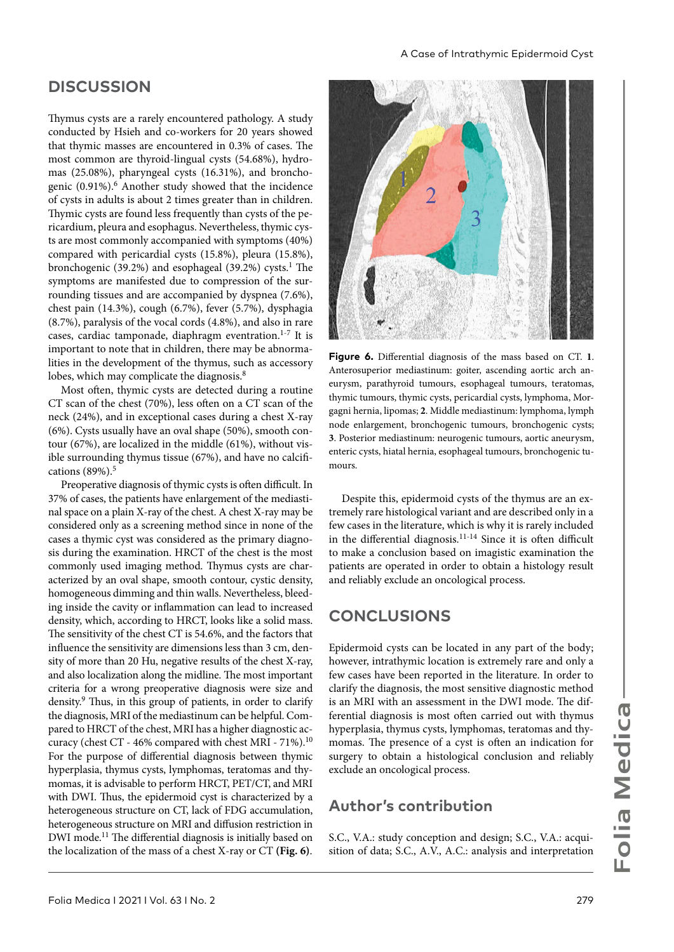## **DISCUSSION**

Thymus cysts are a rarely encountered pathology. A study conducted by Hsieh and co-workers for 20 years showed that thymic masses are encountered in 0.3% of cases. The most common are thyroid-lingual cysts (54.68%), hydromas (25.08%), pharyngeal cysts (16.31%), and bronchogenic (0.91%).6 Another study showed that the incidence of cysts in adults is about 2 times greater than in children. Thymic cysts are found less frequently than cysts of the pericardium, pleura and esophagus. Nevertheless, thymic cysts are most commonly accompanied with symptoms (40%) compared with pericardial cysts (15.8%), pleura (15.8%), bronchogenic (39.2%) and esophageal (39.2%) cysts.<sup>1</sup> The symptoms are manifested due to compression of the surrounding tissues and are accompanied by dyspnea (7.6%), chest pain (14.3%), cough (6.7%), fever (5.7%), dysphagia (8.7%), paralysis of the vocal cords (4.8%), and also in rare cases, cardiac tamponade, diaphragm eventration.1-7 It is important to note that in children, there may be abnormalities in the development of the thymus, such as accessory lobes, which may complicate the diagnosis.<sup>8</sup>

Most often, thymic cysts are detected during a routine CT scan of the chest (70%), less often on a CT scan of the neck (24%), and in exceptional cases during a chest X-ray (6%). Cysts usually have an oval shape (50%), smooth contour (67%), are localized in the middle (61%), without visible surrounding thymus tissue (67%), and have no calcifications (89%).<sup>5</sup>

Preoperative diagnosis of thymic cysts is often difficult. In 37% of cases, the patients have enlargement of the mediastinal space on a plain X-ray of the chest. A chest X-ray may be considered only as a screening method since in none of the cases a thymic cyst was considered as the primary diagnosis during the examination. HRCT of the chest is the most commonly used imaging method. Thymus cysts are characterized by an oval shape, smooth contour, cystic density, homogeneous dimming and thin walls. Nevertheless, bleeding inside the cavity or inflammation can lead to increased density, which, according to HRCT, looks like a solid mass. The sensitivity of the chest CT is 54.6%, and the factors that influence the sensitivity are dimensions less than 3 cm, density of more than 20 Hu, negative results of the chest X-ray, and also localization along the midline. The most important criteria for a wrong preoperative diagnosis were size and density.<sup>9</sup> Thus, in this group of patients, in order to clarify the diagnosis, MRI of the mediastinum can be helpful. Compared to HRCT of the chest, MRI has a higher diagnostic accuracy (chest CT - 46% compared with chest MRI - 71%).<sup>10</sup> For the purpose of differential diagnosis between thymic hyperplasia, thymus cysts, lymphomas, teratomas and thymomas, it is advisable to perform HRCT, PET/CT, and MRI with DWI. Thus, the epidermoid cyst is characterized by a heterogeneous structure on CT, lack of FDG accumulation, heterogeneous structure on MRI and diffusion restriction in DWI mode.11 The differential diagnosis is initially based on the localization of the mass of a chest X-ray or CT **(Fig. 6)**.



**Figure 6.** Differential diagnosis of the mass based on CT. **1**. Anterosuperior mediastinum: goiter, ascending aortic arch aneurysm, parathyroid tumours, esophageal tumours, teratomas, thymic tumours, thymic cysts, pericardial cysts, lymphoma, Morgagni hernia, lipomas; **2**. Middle mediastinum: lymphoma, lymph node enlargement, bronchogenic tumours, bronchogenic cysts; **3**. Posterior mediastinum: neurogenic tumours, aortic aneurysm, enteric cysts, hiatal hernia, esophageal tumours, bronchogenic tumours.

Despite this, epidermoid cysts of the thymus are an extremely rare histological variant and are described only in a few cases in the literature, which is why it is rarely included in the differential diagnosis.<sup>11-14</sup> Since it is often difficult to make a conclusion based on imagistic examination the patients are operated in order to obtain a histology result and reliably exclude an oncological process.

#### **CONCLUSIONS**

Epidermoid cysts can be located in any part of the body; however, intrathymic location is extremely rare and only a few cases have been reported in the literature. In order to clarify the diagnosis, the most sensitive diagnostic method is an MRI with an assessment in the DWI mode. The differential diagnosis is most often carried out with thymus hyperplasia, thymus cysts, lymphomas, teratomas and thymomas. The presence of a cyst is often an indication for surgery to obtain a histological conclusion and reliably exclude an oncological process.

#### **Author's contribution**

S.C., V.A.: study conception and design; S.C., V.A.: acquisition of data; S.C., A.V., A.C.: analysis and interpretation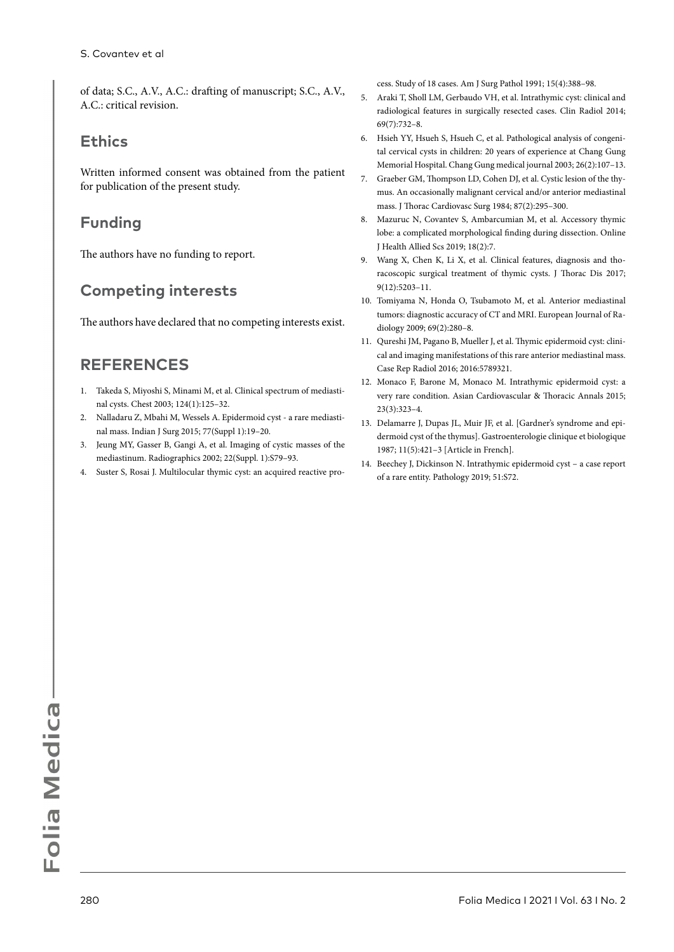of data; S.C., A.V., A.C.: drafting of manuscript; S.C., A.V., A.C.: critical revision.

#### **Ethics**

Written informed consent was obtained from the patient for publication of the present study.

## **Funding**

The authors have no funding to report.

## **Competing interests**

The authors have declared that no competing interests exist.

## **REFERENCES**

- 1. Takeda S, Miyoshi S, Minami M, et al. Clinical spectrum of mediastinal cysts. Chest 2003; 124(1):125–32.
- 2. Nalladaru Z, Mbahi M, Wessels A. Epidermoid cyst a rare mediastinal mass. Indian J Surg 2015; 77(Suppl 1):19–20.
- 3. Jeung MY, Gasser B, Gangi A, et al. Imaging of cystic masses of the mediastinum. Radiographics 2002; 22(Suppl. 1):S79–93.
- 4. Suster S, Rosai J. Multilocular thymic cyst: an acquired reactive pro-

cess. Study of 18 cases. Am J Surg Pathol 1991; 15(4):388–98.

- 5. Araki T, Sholl LM, Gerbaudo VH, et al. Intrathymic cyst: clinical and radiological features in surgically resected cases. Clin Radiol 2014; 69(7):732–8.
- 6. Hsieh YY, Hsueh S, Hsueh C, et al. Pathological analysis of congenital cervical cysts in children: 20 years of experience at Chang Gung Memorial Hospital. Chang Gung medical journal 2003; 26(2):107–13.
- 7. Graeber GM, Thompson LD, Cohen DJ, et al. Cystic lesion of the thymus. An occasionally malignant cervical and/or anterior mediastinal mass. J Thorac Cardiovasc Surg 1984; 87(2):295–300.
- 8. Mazuruc N, Covantev S, Ambarcumian M, et al. Accessory thymic lobe: a complicated morphological finding during dissection. Online J Health Allied Scs 2019; 18(2):7.
- 9. Wang X, Chen K, Li X, et al. Clinical features, diagnosis and thoracoscopic surgical treatment of thymic cysts. J Thorac Dis 2017; 9(12):5203–11.
- 10. Tomiyama N, Honda O, Tsubamoto M, et al. Anterior mediastinal tumors: diagnostic accuracy of CT and MRI. European Journal of Radiology 2009; 69(2):280–8.
- 11. Qureshi JM, Pagano B, Mueller J, et al. Thymic epidermoid cyst: clinical and imaging manifestations of this rare anterior mediastinal mass. Case Rep Radiol 2016; 2016:5789321.
- 12. Monaco F, Barone M, Monaco M. Intrathymic epidermoid cyst: a very rare condition. Asian Cardiovascular & Thoracic Annals 2015; 23(3):323–4.
- 13. Delamarre J, Dupas JL, Muir JF, et al. [Gardner's syndrome and epidermoid cyst of the thymus]. Gastroenterologie clinique et biologique 1987; 11(5):421–3 [Article in French].
- 14. Beechey J, Dickinson N. Intrathymic epidermoid cyst a case report of a rare entity. Pathology 2019; 51:S72.